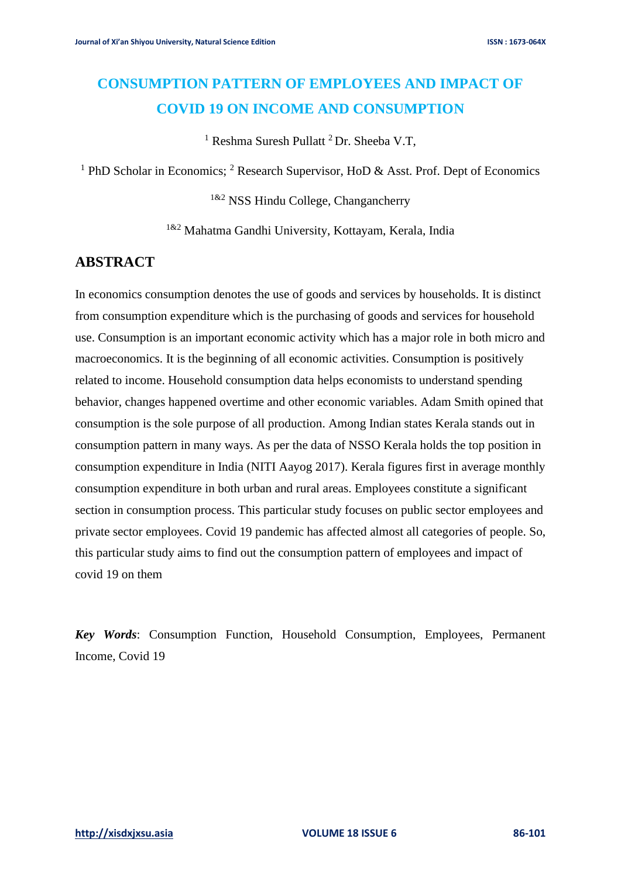## **CONSUMPTION PATTERN OF EMPLOYEES AND IMPACT OF COVID 19 ON INCOME AND CONSUMPTION**

<sup>1</sup> Reshma Suresh Pullatt<sup>2</sup> Dr. Sheeba V.T,

<sup>1</sup> PhD Scholar in Economics; <sup>2</sup> Research Supervisor, HoD & Asst. Prof. Dept of Economics

1&2 NSS Hindu College, Changancherry

1&2 Mahatma Gandhi University, Kottayam, Kerala, India

## **ABSTRACT**

In economics consumption denotes the use of goods and services by households. It is distinct from consumption expenditure which is the purchasing of goods and services for household use. Consumption is an important economic activity which has a major role in both micro and macroeconomics. It is the beginning of all economic activities. Consumption is positively related to income. Household consumption data helps economists to understand spending behavior, changes happened overtime and other economic variables. Adam Smith opined that consumption is the sole purpose of all production. Among Indian states Kerala stands out in consumption pattern in many ways. As per the data of NSSO Kerala holds the top position in consumption expenditure in India (NITI Aayog 2017). Kerala figures first in average monthly consumption expenditure in both urban and rural areas. Employees constitute a significant section in consumption process. This particular study focuses on public sector employees and private sector employees. Covid 19 pandemic has affected almost all categories of people. So, this particular study aims to find out the consumption pattern of employees and impact of covid 19 on them

*Key Words*: Consumption Function, Household Consumption, Employees, Permanent Income, Covid 19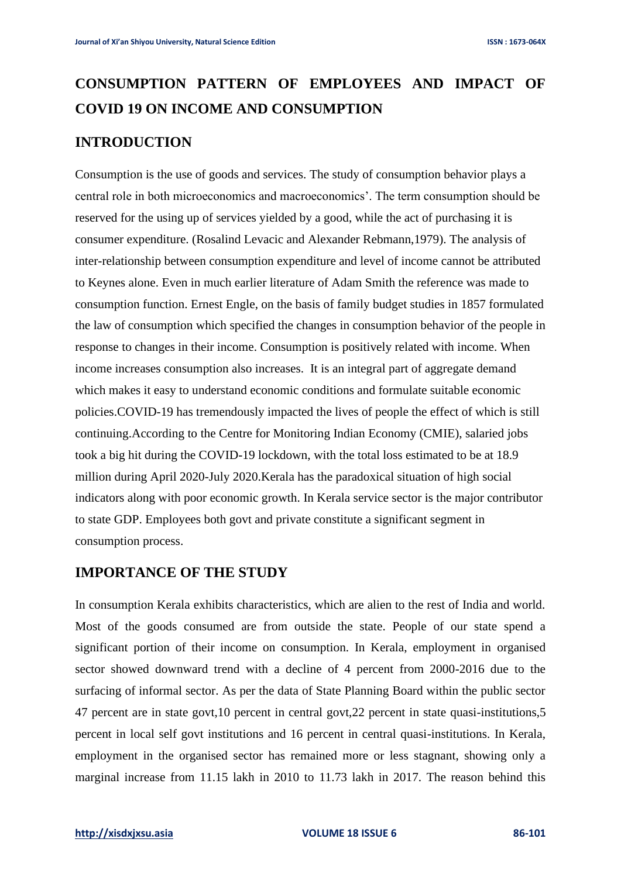# **CONSUMPTION PATTERN OF EMPLOYEES AND IMPACT OF COVID 19 ON INCOME AND CONSUMPTION**

## **INTRODUCTION**

Consumption is the use of goods and services. The study of consumption behavior plays a central role in both microeconomics and macroeconomics'. The term consumption should be reserved for the using up of services yielded by a good, while the act of purchasing it is consumer expenditure. (Rosalind Levacic and Alexander Rebmann,1979). The analysis of inter-relationship between consumption expenditure and level of income cannot be attributed to Keynes alone. Even in much earlier literature of Adam Smith the reference was made to consumption function. Ernest Engle, on the basis of family budget studies in 1857 formulated the law of consumption which specified the changes in consumption behavior of the people in response to changes in their income. Consumption is positively related with income. When income increases consumption also increases. It is an integral part of aggregate demand which makes it easy to understand economic conditions and formulate suitable economic policies.COVID-19 has tremendously impacted the lives of people the effect of which is still continuing.According to the Centre for Monitoring Indian Economy (CMIE), salaried jobs took a big hit during the COVID-19 lockdown, with the total loss estimated to be at 18.9 million during April 2020-July 2020.Kerala has the paradoxical situation of high social indicators along with poor economic growth. In Kerala service sector is the major contributor to state GDP. Employees both govt and private constitute a significant segment in consumption process.

## **IMPORTANCE OF THE STUDY**

In consumption Kerala exhibits characteristics, which are alien to the rest of India and world. Most of the goods consumed are from outside the state. People of our state spend a significant portion of their income on consumption. In Kerala, employment in organised sector showed downward trend with a decline of 4 percent from 2000-2016 due to the surfacing of informal sector. As per the data of State Planning Board within the public sector 47 percent are in state govt,10 percent in central govt,22 percent in state quasi-institutions,5 percent in local self govt institutions and 16 percent in central quasi-institutions. In Kerala, employment in the organised sector has remained more or less stagnant, showing only a marginal increase from 11.15 lakh in 2010 to 11.73 lakh in 2017. The reason behind this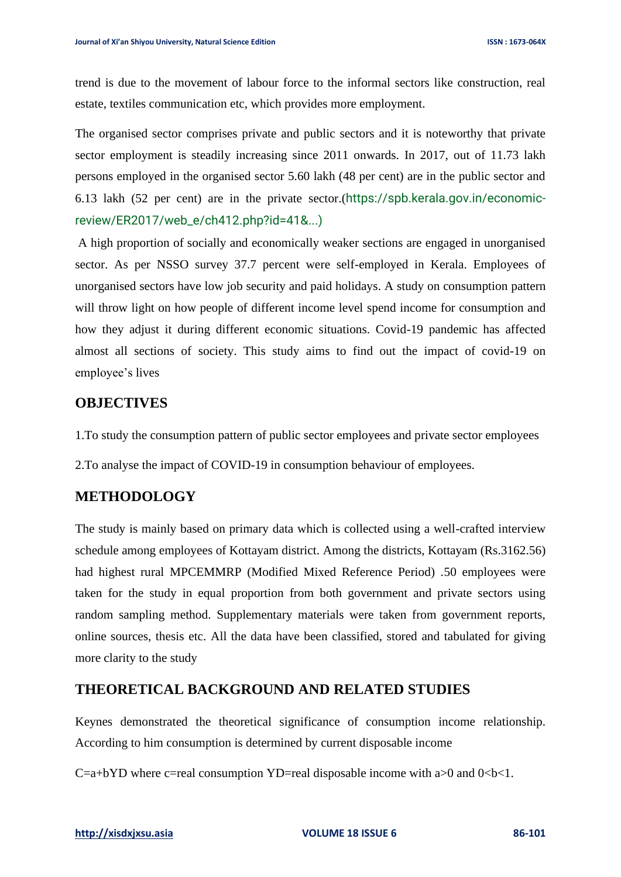trend is due to the movement of labour force to the informal sectors like construction, real estate, textiles communication etc, which provides more employment.

The organised sector comprises private and public sectors and it is noteworthy that private sector employment is steadily increasing since 2011 onwards. In 2017, out of 11.73 lakh persons employed in the organised sector 5.60 lakh (48 per cent) are in the public sector and 6.13 lakh (52 per cent) are in the private sector.(https://spb.kerala.gov.in/economicreview/ER2017/web\_e/ch412.php?id=41&...[\)](https://www.bing.com/search?q=private+sector+employees+in+kerala&cvid=16c508ff326b4838a42e749b578906f4&aqs=edge..69i57j69i64.7704j0j1&pglt=41&FORM=ANSPA1&PC=HCTS)

A high proportion of socially and economically weaker sections are engaged in unorganised sector. As per NSSO survey 37.7 percent were self-employed in Kerala. Employees of unorganised sectors have low job security and paid holidays. A study on consumption pattern will throw light on how people of different income level spend income for consumption and how they adjust it during different economic situations. Covid-19 pandemic has affected almost all sections of society. This study aims to find out the impact of covid-19 on employee's lives

#### **OBJECTIVES**

1.To study the consumption pattern of public sector employees and private sector employees

2.To analyse the impact of COVID-19 in consumption behaviour of employees.

## **METHODOLOGY**

The study is mainly based on primary data which is collected using a well-crafted interview schedule among employees of Kottayam district. Among the districts, Kottayam (Rs.3162.56) had highest rural MPCEMMRP (Modified Mixed Reference Period) .50 employees were taken for the study in equal proportion from both government and private sectors using random sampling method. Supplementary materials were taken from government reports, online sources, thesis etc. All the data have been classified, stored and tabulated for giving more clarity to the study

## **THEORETICAL BACKGROUND AND RELATED STUDIES**

Keynes demonstrated the theoretical significance of consumption income relationship. According to him consumption is determined by current disposable income

C=a+bYD where c=real consumption YD=real disposable income with a>0 and  $0 < b < 1$ .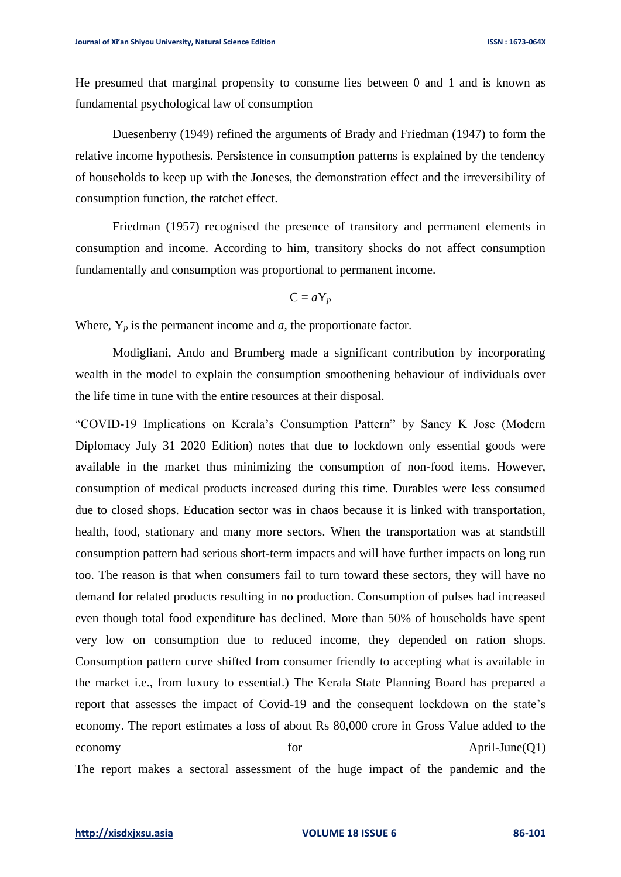He presumed that marginal propensity to consume lies between 0 and 1 and is known as fundamental psychological law of consumption

Duesenberry (1949) refined the arguments of Brady and Friedman (1947) to form the relative income hypothesis. Persistence in consumption patterns is explained by the tendency of households to keep up with the Joneses, the demonstration effect and the irreversibility of consumption function, the ratchet effect.

Friedman (1957) recognised the presence of transitory and permanent elements in consumption and income. According to him, transitory shocks do not affect consumption fundamentally and consumption was proportional to permanent income.

$$
C = aY_p
$$

Where,  $Y_p$  is the permanent income and  $a$ , the proportionate factor.

Modigliani, Ando and Brumberg made a significant contribution by incorporating wealth in the model to explain the consumption smoothening behaviour of individuals over the life time in tune with the entire resources at their disposal.

"COVID-19 Implications on Kerala's Consumption Pattern" by Sancy K Jose (Modern Diplomacy July 31 2020 Edition) notes that due to lockdown only essential goods were available in the market thus minimizing the consumption of non-food items. However, consumption of medical products increased during this time. Durables were less consumed due to closed shops. Education sector was in chaos because it is linked with transportation, health, food, stationary and many more sectors. When the transportation was at standstill consumption pattern had serious short-term impacts and will have further impacts on long run too. The reason is that when consumers fail to turn toward these sectors, they will have no demand for related products resulting in no production. Consumption of pulses had increased even though total food expenditure has declined. More than 50% of households have spent very low on consumption due to reduced income, they depended on ration shops. Consumption pattern curve shifted from consumer friendly to accepting what is available in the market i.e., from luxury to essential.) The Kerala State Planning Board has prepared a report that assesses the impact of Covid-19 and the consequent lockdown on the state's economy. The report estimates a loss of about Rs 80,000 crore in Gross Value added to the economy for April-June(O1)

The report makes a sectoral assessment of the huge impact of the pandemic and the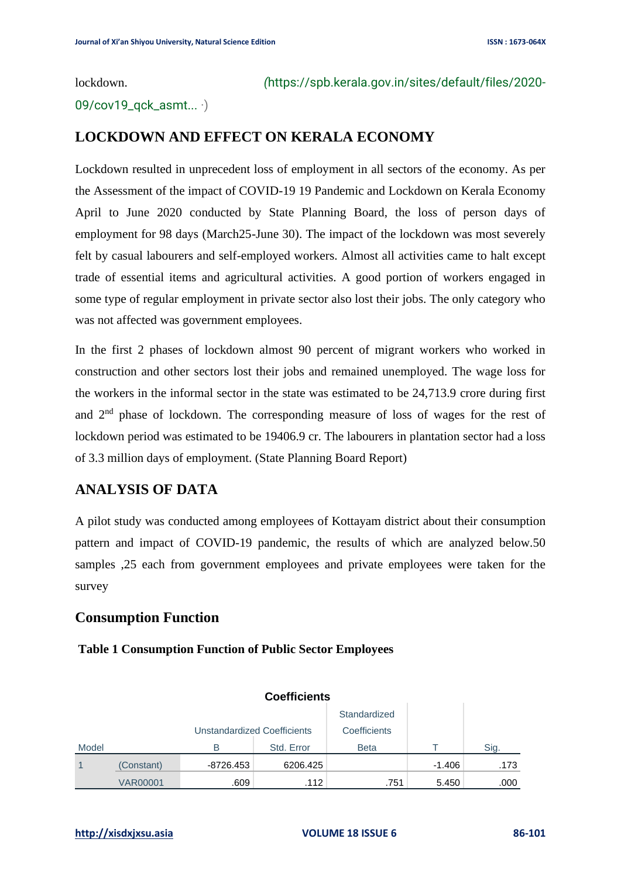09/cov19\_qck\_asmt... ·)

## **LOCKDOWN AND EFFECT ON KERALA ECONOMY**

Lockdown resulted in unprecedent loss of employment in all sectors of the economy. As per the Assessment of the impact of COVID-19 19 Pandemic and Lockdown on Kerala Economy April to June 2020 conducted by State Planning Board, the loss of person days of employment for 98 days (March25-June 30). The impact of the lockdown was most severely felt by casual labourers and self-employed workers. Almost all activities came to halt except trade of essential items and agricultural activities. A good portion of workers engaged in some type of regular employment in private sector also lost their jobs. The only category who was not affected was government employees.

In the first 2 phases of lockdown almost 90 percent of migrant workers who worked in construction and other sectors lost their jobs and remained unemployed. The wage loss for the workers in the informal sector in the state was estimated to be 24,713.9 crore during first and 2nd phase of lockdown. The corresponding measure of loss of wages for the rest of lockdown period was estimated to be 19406.9 cr. The labourers in plantation sector had a loss of 3.3 million days of employment. (State Planning Board Report)

## **ANALYSIS OF DATA**

A pilot study was conducted among employees of Kottayam district about their consumption pattern and impact of COVID-19 pandemic, the results of which are analyzed below.50 samples ,25 each from government employees and private employees were taken for the survey

#### **Consumption Function**

## **Table 1 Consumption Function of Public Sector Employees**

|       |                 |                             | <b>Coefficients</b> |              |          |      |
|-------|-----------------|-----------------------------|---------------------|--------------|----------|------|
|       |                 |                             |                     | Standardized |          |      |
|       |                 | Unstandardized Coefficients |                     | Coefficients |          |      |
| Model |                 | в                           | Std. Error          | <b>Beta</b>  |          | Sig. |
|       | (Constant)      | -8726.453                   | 6206.425            |              | $-1.406$ | .173 |
|       | <b>VAR00001</b> | .609                        | .112                | .751         | 5.450    | .000 |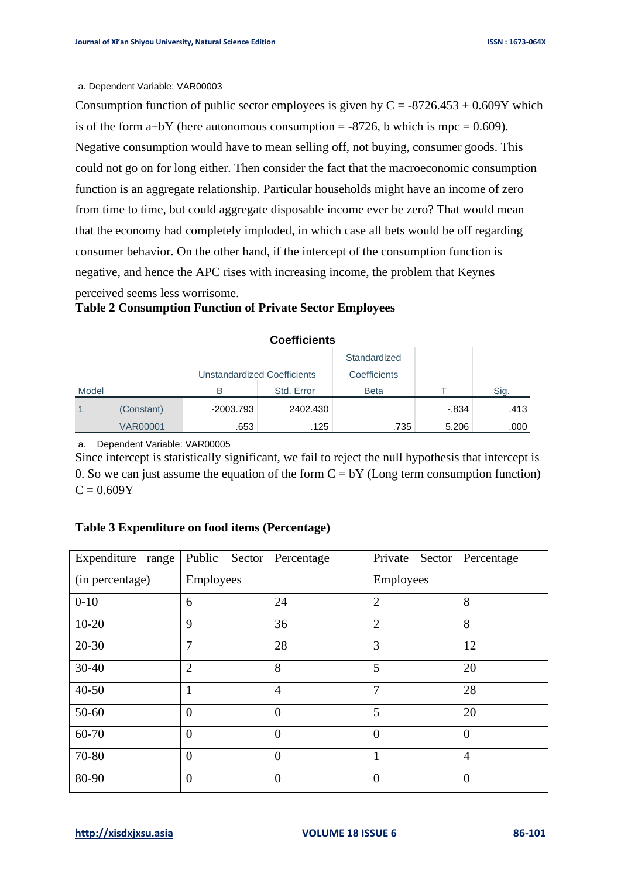#### a. Dependent Variable: VAR00003

Consumption function of public sector employees is given by  $C = -8726.453 + 0.609Y$  which is of the form a+bY (here autonomous consumption  $=$  -8726, b which is mpc  $= 0.609$ ). Negative consumption would have to mean selling off, not buying, consumer goods. This could not go on for long either. Then consider the fact that the macroeconomic consumption function is an aggregate relationship. Particular households might have an income of zero from time to time, but could aggregate disposable income ever be zero? That would mean that the economy had completely imploded, in which case all bets would be off regarding consumer behavior. On the other hand, if the intercept of the consumption function is negative, and hence the APC rises with increasing income, the problem that Keynes perceived seems less worrisome.

#### **Table 2 Consumption Function of Private Sector Employees**

|       |                 |                                    | <b>Coefficients</b> |              |       |      |
|-------|-----------------|------------------------------------|---------------------|--------------|-------|------|
|       |                 |                                    |                     | Standardized |       |      |
|       |                 | <b>Unstandardized Coefficients</b> |                     | Coefficients |       |      |
| Model |                 | B                                  | Std. Error          | <b>Beta</b>  |       | Sig. |
|       | (Constant)      | -2003.793                          | 2402.430            |              | -.834 | .413 |
|       | <b>VAR00001</b> | .653                               | .125                | .735         | 5.206 | .000 |

a. Dependent Variable: VAR00005

Since intercept is statistically significant, we fail to reject the null hypothesis that intercept is 0. So we can just assume the equation of the form  $C = bY$  (Long term consumption function)  $C = 0.609Y$ 

#### **Table 3 Expenditure on food items (Percentage)**

| Expenditure<br>range | Public<br>Sector | Percentage     | Private Sector | Percentage     |
|----------------------|------------------|----------------|----------------|----------------|
| (in percentage)      | Employees        |                | Employees      |                |
| $0 - 10$             | 6                | 24             | $\overline{2}$ | 8              |
| $10 - 20$            | 9                | 36             | $\overline{2}$ | 8              |
| $20 - 30$            | 7                | 28             | 3              | 12             |
| 30-40                | $\overline{2}$   | 8              | 5              | 20             |
| $40 - 50$            | $\mathbf{1}$     | $\overline{4}$ | $\overline{7}$ | 28             |
| 50-60                | $\overline{0}$   | $\overline{0}$ | 5              | 20             |
| 60-70                | $\overline{0}$   | $\overline{0}$ | $\overline{0}$ | $\overline{0}$ |
| 70-80                | $\overline{0}$   | $\overline{0}$ | 1              | $\overline{4}$ |
| 80-90                | $\theta$         | $\overline{0}$ | $\theta$       | $\mathbf{0}$   |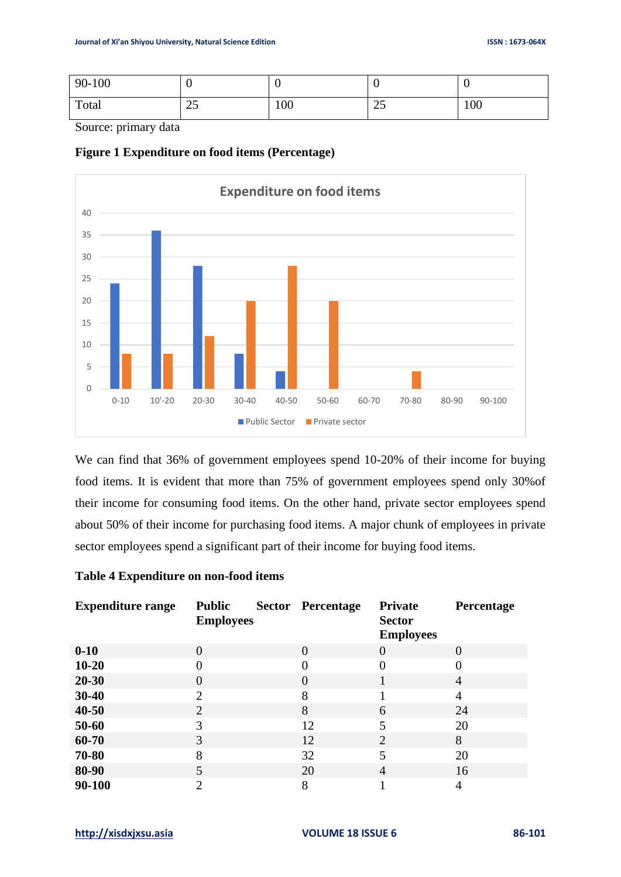| $90 - 100$ | v               | ◡   |              |     |
|------------|-----------------|-----|--------------|-----|
| Total      | $\gamma$<br>ر∠∠ | 100 | $\cap$<br>ن∠ | 100 |

Source: primary data

#### **Figure 1 Expenditure on food items (Percentage)**



We can find that 36% of government employees spend 10-20% of their income for buying food items. It is evident that more than 75% of government employees spend only 30%of their income for consuming food items. On the other hand, private sector employees spend about 50% of their income for purchasing food items. A major chunk of employees in private sector employees spend a significant part of their income for buying food items.

#### **Table 4 Expenditure on non-food items**

| <b>Expenditure range</b> | <b>Public</b><br><b>Employees</b> | <b>Sector Percentage</b> | <b>Private</b><br><b>Sector</b><br><b>Employees</b> | Percentage |
|--------------------------|-----------------------------------|--------------------------|-----------------------------------------------------|------------|
| $0 - 10$                 | $\theta$                          | $\Omega$                 | $\theta$                                            | $\Omega$   |
| $10 - 20$                | 0                                 | $\theta$                 | $\theta$                                            | ( )        |
| $20 - 30$                | 0                                 | $\theta$                 |                                                     | 4          |
| 30-40                    | $\overline{2}$                    | 8                        |                                                     | 4          |
| $40 - 50$                | $\overline{2}$                    | 8                        | 6                                                   | 24         |
| 50-60                    | 3                                 | 12                       | 5                                                   | 20         |
| 60-70                    | 3                                 | 12                       | $\overline{2}$                                      | 8          |
| 70-80                    | 8                                 | 32                       | 5                                                   | 20         |
| 80-90                    | 5                                 | 20                       | $\overline{4}$                                      | 16         |
| 90-100                   | $\overline{2}$                    | 8                        |                                                     | 4          |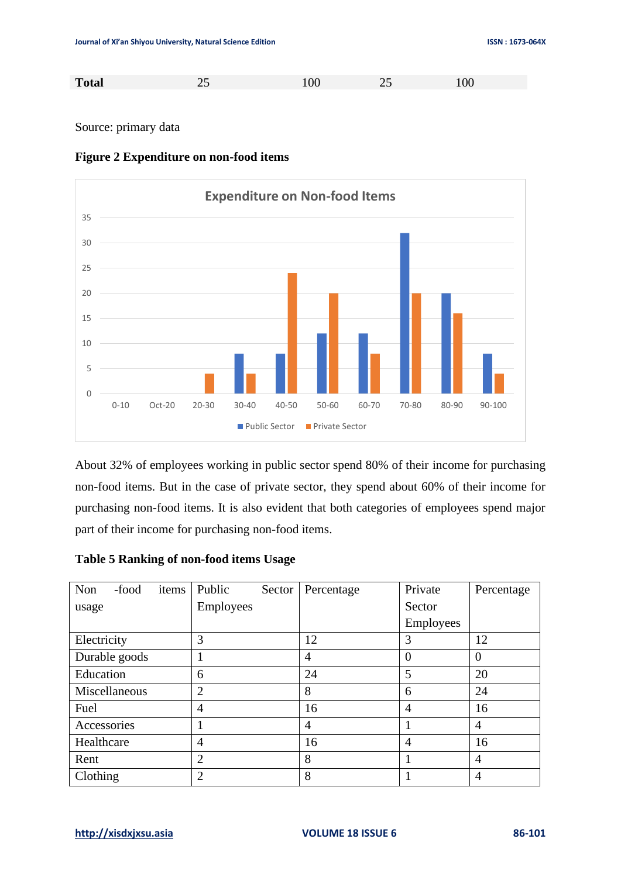| <b>Total</b> | 100 | າ ເ | 100 |
|--------------|-----|-----|-----|
|              |     |     |     |

#### Source: primary data



#### **Figure 2 Expenditure on non-food items**

About 32% of employees working in public sector spend 80% of their income for purchasing non-food items. But in the case of private sector, they spend about 60% of their income for purchasing non-food items. It is also evident that both categories of employees spend major part of their income for purchasing non-food items.

#### **Table 5 Ranking of non-food items Usage**

| -food<br>Non<br>items | Public<br>Sector | Percentage     | Private        | Percentage     |
|-----------------------|------------------|----------------|----------------|----------------|
| usage                 | Employees        |                | Sector         |                |
|                       |                  |                | Employees      |                |
| Electricity           | 3                | 12             | 3              | 12             |
| Durable goods         |                  | $\overline{4}$ | $\theta$       | $\Omega$       |
| Education             | 6                | 24             | 5              | 20             |
| Miscellaneous         | $\overline{2}$   | 8              | 6              | 24             |
| Fuel                  | $\overline{4}$   | 16             | $\overline{4}$ | 16             |
| Accessories           |                  | $\overline{4}$ |                | 4              |
| Healthcare            | $\overline{4}$   | 16             | $\overline{4}$ | 16             |
| Rent                  | $\overline{2}$   | 8              |                | $\overline{A}$ |
| Clothing              | $\overline{2}$   | 8              |                | 4              |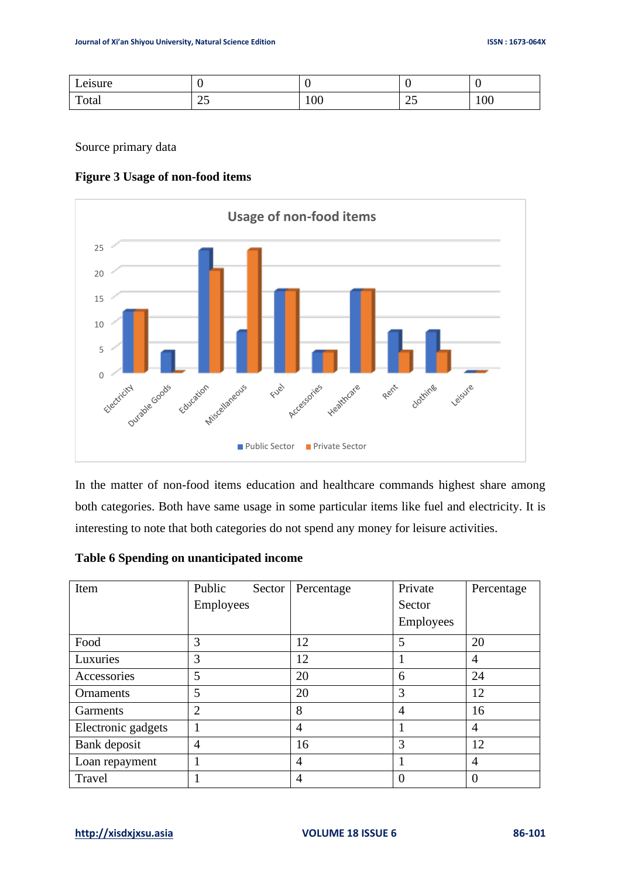| $\overline{\phantom{a}}$<br>eisure<br>. |           |                 |              |                 |
|-----------------------------------------|-----------|-----------------|--------------|-----------------|
| Total                                   | . -<br>ر_ | $\Omega$<br>TUU | -<br>-<br>ر_ | $\Omega$<br>TUU |

Source primary data

#### **Figure 3 Usage of non-food items**



In the matter of non-food items education and healthcare commands highest share among both categories. Both have same usage in some particular items like fuel and electricity. It is interesting to note that both categories do not spend any money for leisure activities.

#### **Table 6 Spending on unanticipated income**

| Item               | Public<br>Sector |  | Percentage     | Private   | Percentage     |
|--------------------|------------------|--|----------------|-----------|----------------|
|                    | Employees        |  |                | Sector    |                |
|                    |                  |  |                | Employees |                |
| Food               | 3                |  | 12             | 5         | 20             |
| Luxuries           | 3                |  | 12             |           | 4              |
| Accessories        | 5                |  | 20             | 6         | 24             |
| Ornaments          | 5                |  | 20             | 3         | 12             |
| Garments           | $\overline{2}$   |  | 8              | 4         | 16             |
| Electronic gadgets |                  |  | $\overline{4}$ |           | 4              |
| Bank deposit       | 4                |  | 16             | 3         | 12             |
| Loan repayment     |                  |  | $\overline{4}$ |           | $\overline{4}$ |
| Travel             |                  |  | $\overline{4}$ | $\theta$  | $\overline{0}$ |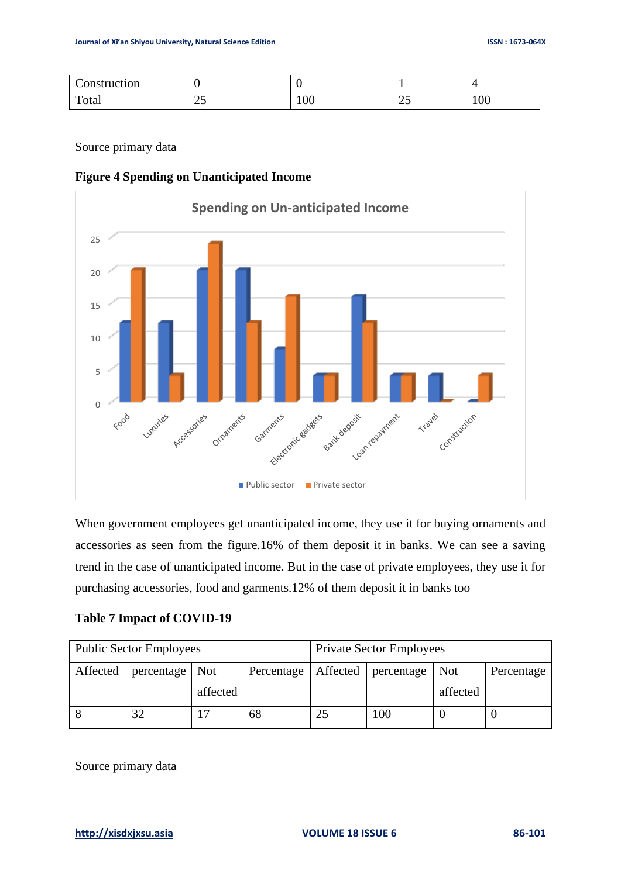| ∼<br>onstruction/<br>. |                     |     |    |     |
|------------------------|---------------------|-----|----|-----|
| Total                  | $\sim$ $\sim$<br>ر_ | 100 | رے | 100 |

Source primary data

#### **Figure 4 Spending on Unanticipated Income**



When government employees get unanticipated income, they use it for buying ornaments and accessories as seen from the figure.16% of them deposit it in banks. We can see a saving trend in the case of unanticipated income. But in the case of private employees, they use it for purchasing accessories, food and garments.12% of them deposit it in banks too

#### **Table 7 Impact of COVID-19**

| <b>Public Sector Employees</b> |                  |          |            | <b>Private Sector Employees</b> |            |          |            |
|--------------------------------|------------------|----------|------------|---------------------------------|------------|----------|------------|
| Affected                       | percentage   Not |          | Percentage | Affected                        | percentage | Not      | Percentage |
|                                |                  | affected |            |                                 |            | affected |            |
|                                | 32               |          | 68         |                                 | 100        |          |            |

Source primary data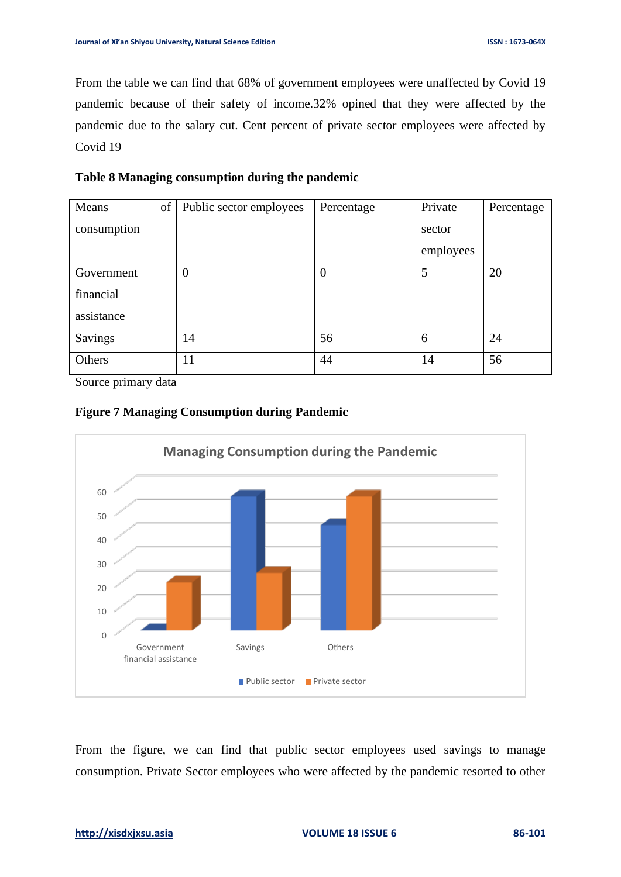From the table we can find that 68% of government employees were unaffected by Covid 19 pandemic because of their safety of income.32% opined that they were affected by the pandemic due to the salary cut. Cent percent of private sector employees were affected by Covid 19

|  | Table 8 Managing consumption during the pandemic |  |  |
|--|--------------------------------------------------|--|--|
|  |                                                  |  |  |

| Means       | of | Public sector employees | Percentage | Private   | Percentage |
|-------------|----|-------------------------|------------|-----------|------------|
| consumption |    |                         |            | sector    |            |
|             |    |                         |            | employees |            |
| Government  |    | $\overline{0}$          | 0          | 5         | 20         |
| financial   |    |                         |            |           |            |
| assistance  |    |                         |            |           |            |
| Savings     |    | 14                      | 56         | 6         | 24         |
| Others      |    | 11                      | 44         | 14        | 56         |

Source primary data





From the figure, we can find that public sector employees used savings to manage consumption. Private Sector employees who were affected by the pandemic resorted to other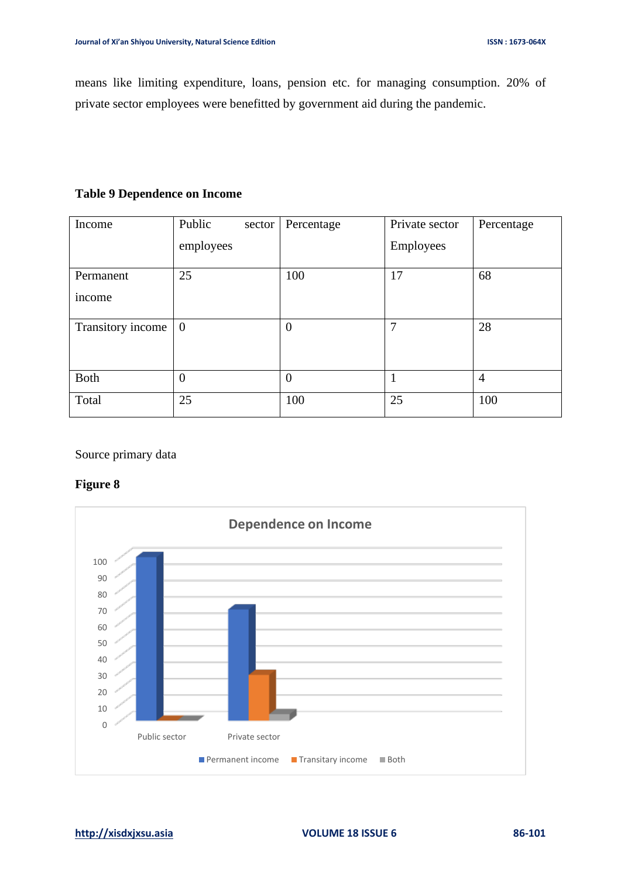means like limiting expenditure, loans, pension etc. for managing consumption. 20% of private sector employees were benefitted by government aid during the pandemic.

#### **Table 9 Dependence on Income**

| Income            | Public         | sector | Percentage       | Private sector | Percentage     |
|-------------------|----------------|--------|------------------|----------------|----------------|
|                   | employees      |        |                  | Employees      |                |
| Permanent         | 25             |        | 100              | 17             | 68             |
| income            |                |        |                  |                |                |
| Transitory income | $\overline{0}$ |        | $\boldsymbol{0}$ | 7              | 28             |
|                   |                |        |                  |                |                |
| <b>Both</b>       | $\overline{0}$ |        | $\overline{0}$   |                | $\overline{4}$ |
| Total             | 25             |        | 100              | 25             | 100            |

#### Source primary data

#### **Figure 8**

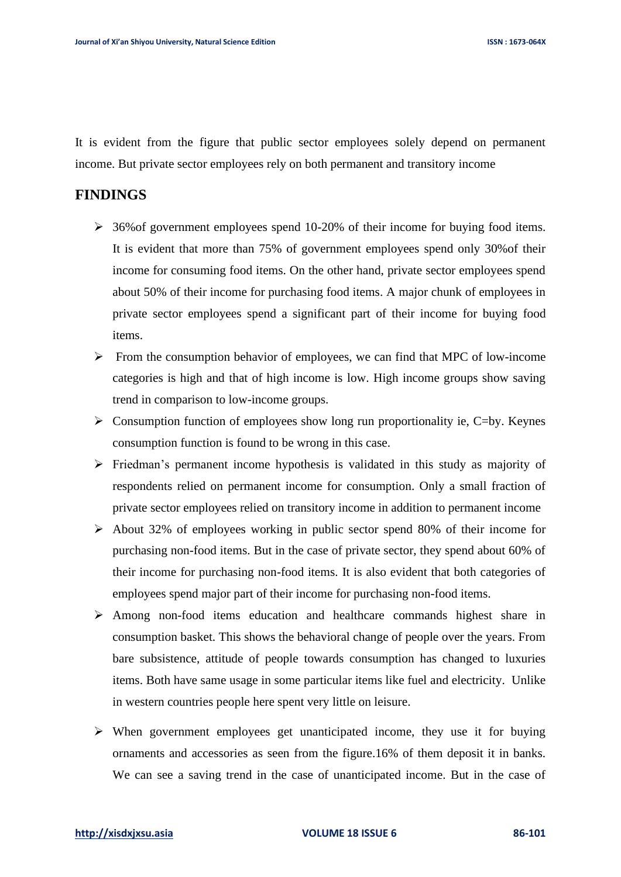It is evident from the figure that public sector employees solely depend on permanent income. But private sector employees rely on both permanent and transitory income

## **FINDINGS**

- ➢ 36%of government employees spend 10-20% of their income for buying food items. It is evident that more than 75% of government employees spend only 30%of their income for consuming food items. On the other hand, private sector employees spend about 50% of their income for purchasing food items. A major chunk of employees in private sector employees spend a significant part of their income for buying food items.
- $\triangleright$  From the consumption behavior of employees, we can find that MPC of low-income categories is high and that of high income is low. High income groups show saving trend in comparison to low-income groups.
- $\triangleright$  Consumption function of employees show long run proportionality ie, C=by. Keynes consumption function is found to be wrong in this case.
- ➢ Friedman's permanent income hypothesis is validated in this study as majority of respondents relied on permanent income for consumption. Only a small fraction of private sector employees relied on transitory income in addition to permanent income
- ➢ About 32% of employees working in public sector spend 80% of their income for purchasing non-food items. But in the case of private sector, they spend about 60% of their income for purchasing non-food items. It is also evident that both categories of employees spend major part of their income for purchasing non-food items.
- ➢ Among non-food items education and healthcare commands highest share in consumption basket. This shows the behavioral change of people over the years. From bare subsistence, attitude of people towards consumption has changed to luxuries items. Both have same usage in some particular items like fuel and electricity. Unlike in western countries people here spent very little on leisure.
- $\triangleright$  When government employees get unanticipated income, they use it for buying ornaments and accessories as seen from the figure.16% of them deposit it in banks. We can see a saving trend in the case of unanticipated income. But in the case of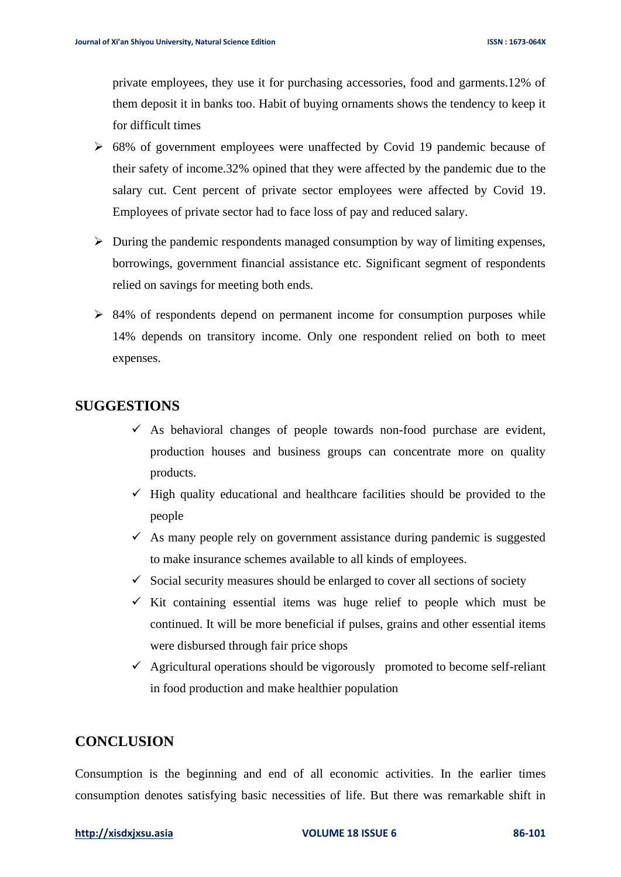private employees, they use it for purchasing accessories, food and garments.12% of them deposit it in banks too. Habit of buying ornaments shows the tendency to keep it for difficult times

- ➢ 68% of government employees were unaffected by Covid 19 pandemic because of their safety of income.32% opined that they were affected by the pandemic due to the salary cut. Cent percent of private sector employees were affected by Covid 19. Employees of private sector had to face loss of pay and reduced salary.
- $\triangleright$  During the pandemic respondents managed consumption by way of limiting expenses, borrowings, government financial assistance etc. Significant segment of respondents relied on savings for meeting both ends.
- ➢ 84% of respondents depend on permanent income for consumption purposes while 14% depends on transitory income. Only one respondent relied on both to meet expenses.

## **SUGGESTIONS**

- $\checkmark$  As behavioral changes of people towards non-food purchase are evident, production houses and business groups can concentrate more on quality products.
- $\checkmark$  High quality educational and healthcare facilities should be provided to the people
- $\checkmark$  As many people rely on government assistance during pandemic is suggested to make insurance schemes available to all kinds of employees.
- $\checkmark$  Social security measures should be enlarged to cover all sections of society
- $\checkmark$  Kit containing essential items was huge relief to people which must be continued. It will be more beneficial if pulses, grains and other essential items were disbursed through fair price shops
- $\checkmark$  Agricultural operations should be vigorously promoted to become self-reliant in food production and make healthier population

## **CONCLUSION**

Consumption is the beginning and end of all economic activities. In the earlier times consumption denotes satisfying basic necessities of life. But there was remarkable shift in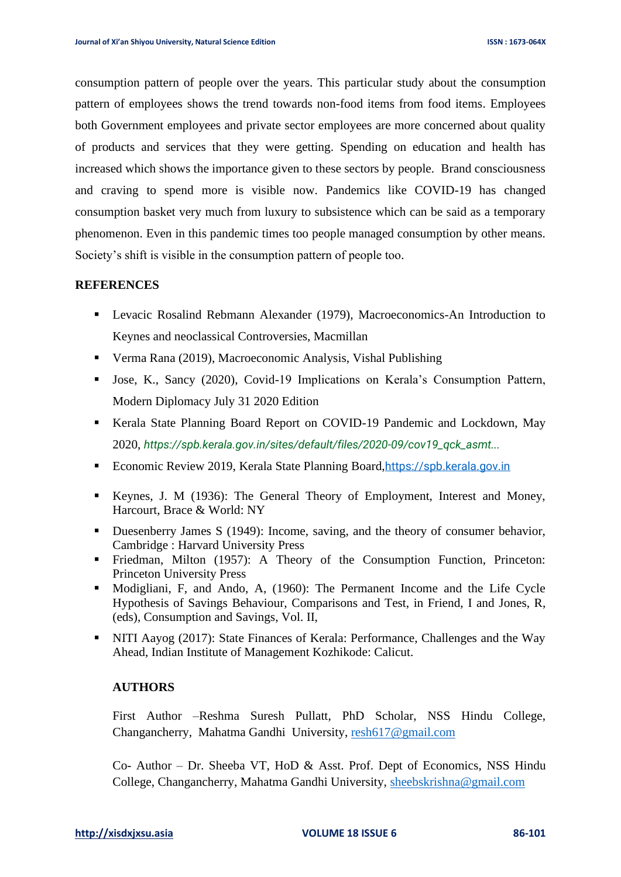consumption pattern of people over the years. This particular study about the consumption pattern of employees shows the trend towards non-food items from food items. Employees both Government employees and private sector employees are more concerned about quality of products and services that they were getting. Spending on education and health has increased which shows the importance given to these sectors by people. Brand consciousness and craving to spend more is visible now. Pandemics like COVID-19 has changed consumption basket very much from luxury to subsistence which can be said as a temporary phenomenon. Even in this pandemic times too people managed consumption by other means. Society's shift is visible in the consumption pattern of people too.

#### **REFERENCES**

- Levacic Rosalind Rebmann Alexander (1979), Macroeconomics-An Introduction to Keynes and neoclassical Controversies, Macmillan
- Verma Rana (2019), Macroeconomic Analysis, Vishal Publishing
- Jose, K., Sancy (2020), Covid-19 Implications on Kerala's Consumption Pattern, Modern Diplomacy July 31 2020 Edition
- Kerala State Planning Board Report on COVID-19 Pandemic and Lockdown, May 2020, *https://spb.kerala.gov.in/sites/default/files/2020-09/cov19\_qck\_asmt...*
- Economic Review 2019, Kerala State Planning Board, [https://spb.kerala.gov.in](https://spb.kerala.gov.in/)
- Keynes, J. M (1936): The General Theory of Employment, Interest and Money, Harcourt, Brace & World: NY
- Duesenberry James S (1949): Income, saving, and the theory of consumer behavior, Cambridge : Harvard University Press
- Friedman, Milton (1957): A Theory of the Consumption Function, Princeton: Princeton University Press
- Modigliani, F, and Ando, A, (1960): The Permanent Income and the Life Cycle Hypothesis of Savings Behaviour, Comparisons and Test, in Friend, I and Jones, R, (eds), Consumption and Savings, Vol. II,
- NITI Aayog (2017): State Finances of Kerala: Performance, Challenges and the Way Ahead, Indian Institute of Management Kozhikode: Calicut.

#### **AUTHORS**

First Author –Reshma Suresh Pullatt, PhD Scholar, NSS Hindu College, Changancherry, Mahatma Gandhi University, [resh617@gmail.com](mailto:resh617@gmail.com)

Co- Author – Dr. Sheeba VT, HoD & Asst. Prof. Dept of Economics, NSS Hindu College, Changancherry, Mahatma Gandhi University, [sheebskrishna@gmail.com](mailto:sheebskrishna@gmail.com)